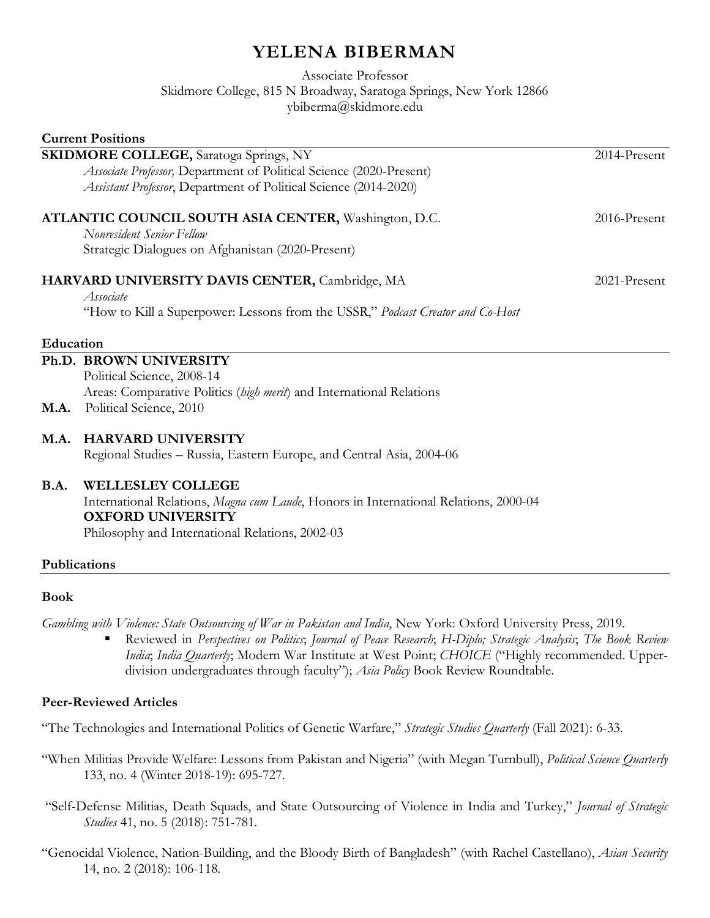# **YELENA BIBERMAN**

Associate Professor Skidmore College, 815 N Broadway, Saratoga Springs, New York 12866 ybiberma@skidmore.edu

| <b>Current Positions</b>                                      |                                                                                              |              |
|---------------------------------------------------------------|----------------------------------------------------------------------------------------------|--------------|
| <b>SKIDMORE COLLEGE, Saratoga Springs, NY</b><br>2014-Present |                                                                                              |              |
|                                                               | Associate Professor, Department of Political Science (2020-Present)                          |              |
|                                                               | Assistant Professor, Department of Political Science (2014-2020)                             |              |
|                                                               | ATLANTIC COUNCIL SOUTH ASIA CENTER, Washington, D.C.                                         | 2016-Present |
|                                                               | Nonresident Senior Fellow                                                                    |              |
|                                                               | Strategic Dialogues on Afghanistan (2020-Present)                                            |              |
|                                                               | HARVARD UNIVERSITY DAVIS CENTER, Cambridge, MA                                               | 2021-Present |
|                                                               | Associate                                                                                    |              |
|                                                               | "How to Kill a Superpower: Lessons from the USSR," Podcast Creator and Co-Host               |              |
| Education                                                     |                                                                                              |              |
|                                                               | Ph.D. BROWN UNIVERSITY                                                                       |              |
|                                                               | Political Science, 2008-14                                                                   |              |
|                                                               | Areas: Comparative Politics (high merit) and International Relations                         |              |
| <b>M.A.</b>                                                   | Political Science, 2010                                                                      |              |
| <b>M.A.</b>                                                   | <b>HARVARD UNIVERSITY</b>                                                                    |              |
|                                                               | Regional Studies - Russia, Eastern Europe, and Central Asia, 2004-06                         |              |
| <b>B.A.</b>                                                   | <b>WELLESLEY COLLEGE</b>                                                                     |              |
|                                                               | International Relations, <i>Magna cum Laude</i> , Honors in International Relations, 2000-04 |              |
|                                                               | <b>OXFORD UNIVERSITY</b>                                                                     |              |
|                                                               | Philosophy and International Relations, 2002-03                                              |              |
|                                                               | Publications                                                                                 |              |

#### **Book**

*Gambling with Violence: State Outsourcing of War in Pakistan and India*, New York: Oxford University Press, 2019.

 Reviewed in *Perspectives on Politics*; *Journal of Peace Research*; *H-Diplo; Strategic Analysis*; *The Book Review India*; *India Quarterly*; Modern War Institute at West Point; *CHOICE* ("Highly recommended. Upperdivision undergraduates through faculty"); *Asia Policy* Book Review Roundtable.

## **Peer-Reviewed Articles**

"The Technologies and International Politics of Genetic Warfare," *Strategic Studies Quarterly* (Fall 2021): 6-33.

- "When Militias Provide Welfare: Lessons from Pakistan and Nigeria" (with Megan Turnbull), *Political Science Quarterly* 133, no. 4 (Winter 2018-19): 695-727.
- "Self-Defense Militias, Death Squads, and State Outsourcing of Violence in India and Turkey," *Journal of Strategic Studies* 41, no. 5 (2018): 751-781.
- "Genocidal Violence, Nation-Building, and the Bloody Birth of Bangladesh" (with Rachel Castellano), *Asian Security* 14, no. 2 (2018): 106-118.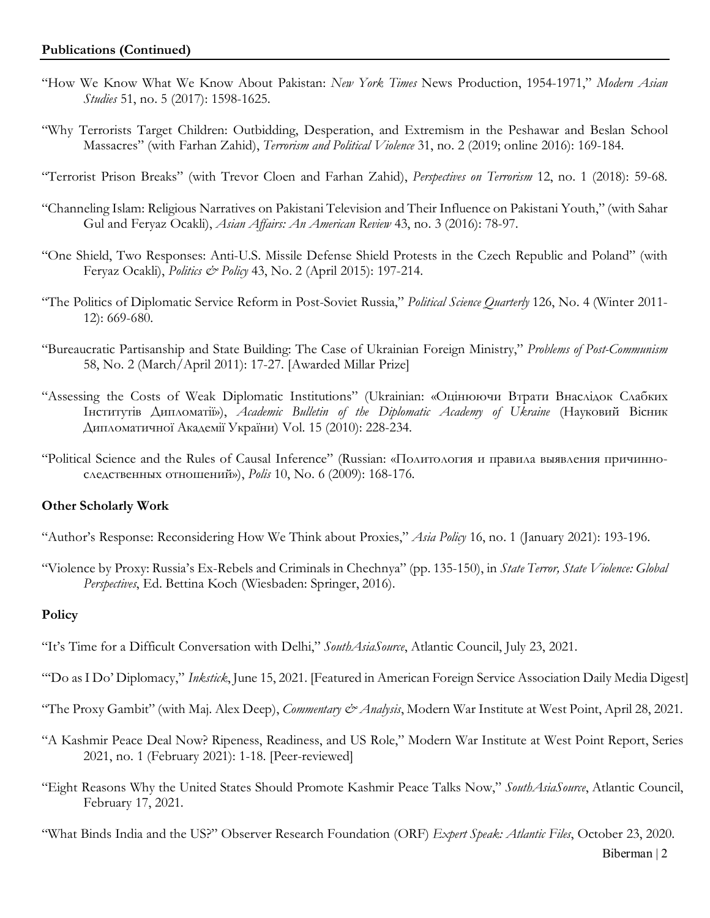- "How We Know What We Know About Pakistan: *New York Times* News Production, 1954-1971," *Modern Asian Studies* 51, no. 5 (2017): 1598-1625.
- "Why Terrorists Target Children: Outbidding, Desperation, and Extremism in the Peshawar and Beslan School Massacres" (with Farhan Zahid), *Terrorism and Political Violence* 31, no. 2 (2019; online 2016): 169-184.
- "Terrorist Prison Breaks" (with Trevor Cloen and Farhan Zahid), *Perspectives on Terrorism* 12, no. 1 (2018): 59-68.
- "Channeling Islam: Religious Narratives on Pakistani Television and Their Influence on Pakistani Youth," (with Sahar Gul and Feryaz Ocakli), *Asian Affairs: An American Review* 43, no. 3 (2016): 78-97.
- "One Shield, Two Responses: Anti-U.S. Missile Defense Shield Protests in the Czech Republic and Poland" (with Feryaz Ocakli), *Politics & Policy* 43, No. 2 (April 2015): 197-214.
- "The Politics of Diplomatic Service Reform in Post-Soviet Russia," *Political Science Quarterly* 126, No. 4 (Winter 2011- 12): 669-680.
- "Bureaucratic Partisanship and State Building: The Case of Ukrainian Foreign Ministry," *Problems of Post-Communism* 58, No. 2 (March/April 2011): 17-27. [Awarded Millar Prize]
- "Assessing the Costs of Weak Diplomatic Institutions" (Ukrainian: «Оцінюючи Втрати Внаслідок Слабких Інститутів Дипломатії»), *Academic Bulletin of the Diplomatic Academy of Ukraine* (Науковий Вісник Дипломатичної Академії України) Vol. 15 (2010): 228-234.
- "Political Science and the Rules of Causal Inference" (Russian: «Политология и правила выявления причинноследственных отношений»), *Polis* 10, No. 6 (2009): 168-176.

## **Other Scholarly Work**

- "Author's Response: Reconsidering How We Think about Proxies," *Asia Policy* 16, no. 1 (January 2021): 193-196.
- "Violence by Proxy: Russia's Ex-Rebels and Criminals in Chechnya" (pp. 135-150), in *State Terror, State Violence: Global Perspectives*, Ed. Bettina Koch (Wiesbaden: Springer, 2016).

## **Policy**

- "It's Time for a Difficult Conversation with Delhi," *SouthAsiaSource*, Atlantic Council, July 23, 2021.
- "'Do as I Do' Diplomacy," *Inkstick*, June 15, 2021. [Featured in American Foreign Service Association Daily Media Digest]
- "The Proxy Gambit" (with Maj. Alex Deep), *Commentary & Analysis*, Modern War Institute at West Point, April 28, 2021.
- "A Kashmir Peace Deal Now? Ripeness, Readiness, and US Role," Modern War Institute at West Point Report, Series 2021, no. 1 (February 2021): 1-18. [Peer-reviewed]
- "Eight Reasons Why the United States Should Promote Kashmir Peace Talks Now," *SouthAsiaSource*, Atlantic Council, February 17, 2021.
- "What Binds India and the US?" Observer Research Foundation (ORF) *Expert Speak: Atlantic Files*, October 23, 2020.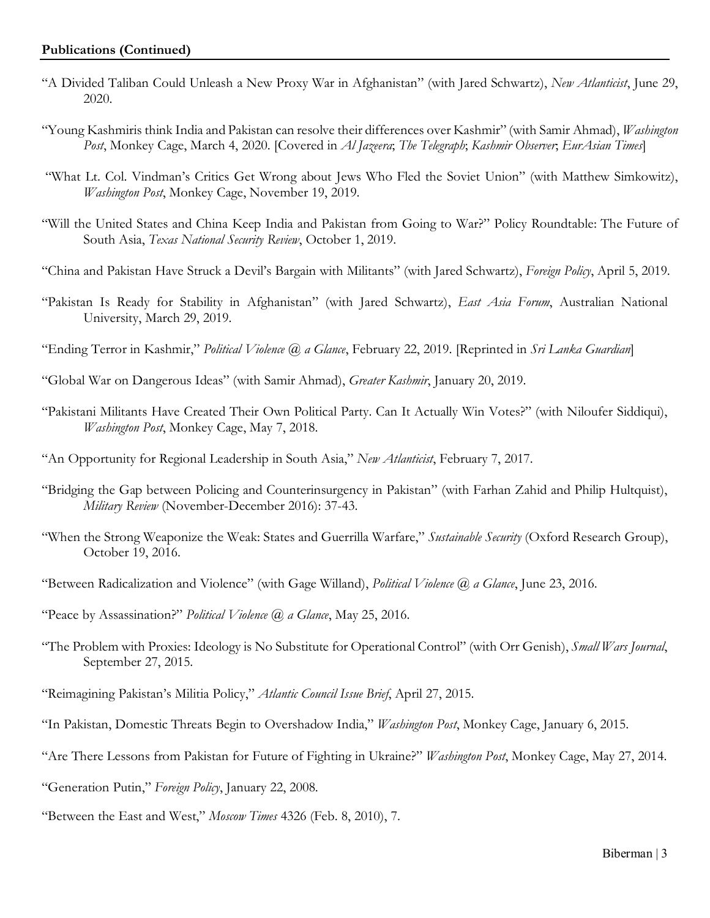- "A Divided Taliban Could Unleash a New Proxy War in Afghanistan" (with Jared Schwartz), *New Atlanticist*, June 29, 2020.
- "Young Kashmiris think India and Pakistan can resolve their differences over Kashmir" (with Samir Ahmad), *Washington Post*, Monkey Cage, March 4, 2020. [Covered in *Al Jazeera*; *The Telegraph*; *Kashmir Observer*; *EurAsian Times*]
- "What Lt. Col. Vindman's Critics Get Wrong about Jews Who Fled the Soviet Union" (with Matthew Simkowitz), *Washington Post*, Monkey Cage, November 19, 2019.
- "Will the United States and China Keep India and Pakistan from Going to War?" Policy Roundtable: The Future of South Asia, *Texas National Security Review*, October 1, 2019.
- "China and Pakistan Have Struck a Devil's Bargain with Militants" (with Jared Schwartz), *Foreign Policy*, April 5, 2019.
- "Pakistan Is Ready for Stability in Afghanistan" (with Jared Schwartz), *East Asia Forum*, Australian National University, March 29, 2019.
- "Ending Terror in Kashmir," *Political Violence @ a Glance*, February 22, 2019. [Reprinted in *Sri Lanka Guardian*]
- "Global War on Dangerous Ideas" (with Samir Ahmad), *Greater Kashmir*, January 20, 2019.
- "Pakistani Militants Have Created Their Own Political Party. Can It Actually Win Votes?" (with Niloufer Siddiqui), *Washington Post*, Monkey Cage, May 7, 2018.
- "An Opportunity for Regional Leadership in South Asia," *New Atlanticist*, February 7, 2017.
- "Bridging the Gap between Policing and Counterinsurgency in Pakistan" (with Farhan Zahid and Philip Hultquist), *Military Review* (November-December 2016): 37-43.
- "When the Strong Weaponize the Weak: States and Guerrilla Warfare," *Sustainable Security* (Oxford Research Group), October 19, 2016.
- "Between Radicalization and Violence" (with Gage Willand), *Political Violence @ a Glance*, June 23, 2016.
- "Peace by Assassination?" *Political Violence @ a Glance*, May 25, 2016.
- "The Problem with Proxies: Ideology is No Substitute for Operational Control" (with Orr Genish), *Small Wars Journal*, September 27, 2015.
- "Reimagining Pakistan's Militia Policy," *Atlantic Council Issue Brief*, April 27, 2015.
- "In Pakistan, Domestic Threats Begin to Overshadow India," *Washington Post*, Monkey Cage, January 6, 2015.
- "Are There Lessons from Pakistan for Future of Fighting in Ukraine?" *Washington Post*, Monkey Cage, May 27, 2014.
- "Generation Putin," *Foreign Policy*, January 22, 2008.
- "Between the East and West," *Moscow Times* 4326 (Feb. 8, 2010), 7.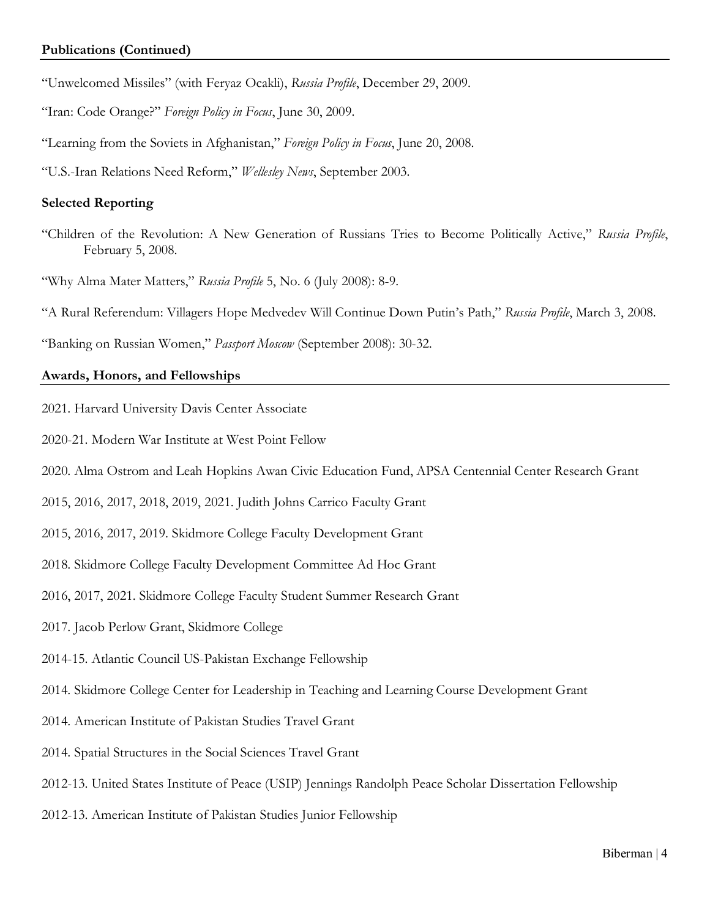- "Unwelcomed Missiles" (with Feryaz Ocakli), *Russia Profile*, December 29, 2009.
- "Iran: Code Orange?" *Foreign Policy in Focus*, June 30, 2009.
- "Learning from the Soviets in Afghanistan," *Foreign Policy in Focus*, June 20, 2008.
- "U.S.-Iran Relations Need Reform," *Wellesley News*, September 2003.

#### **Selected Reporting**

- "Children of the Revolution: A New Generation of Russians Tries to Become Politically Active," *Russia Profile*, February 5, 2008.
- "Why Alma Mater Matters," *Russia Profile* 5, No. 6 (July 2008): 8-9.
- "A Rural Referendum: Villagers Hope Medvedev Will Continue Down Putin's Path," *Russia Profile*, March 3, 2008.

"Banking on Russian Women," *Passport Moscow* (September 2008): 30-32.

## **Awards, Honors, and Fellowships**

- 2021. Harvard University Davis Center Associate
- 2020-21. Modern War Institute at West Point Fellow
- 2020. Alma Ostrom and Leah Hopkins Awan Civic Education Fund, APSA Centennial Center Research Grant
- 2015, 2016, 2017, 2018, 2019, 2021. Judith Johns Carrico Faculty Grant
- 2015, 2016, 2017, 2019. Skidmore College Faculty Development Grant
- 2018. Skidmore College Faculty Development Committee Ad Hoc Grant
- 2016, 2017, 2021. Skidmore College Faculty Student Summer Research Grant
- 2017. Jacob Perlow Grant, Skidmore College
- 2014-15. Atlantic Council US-Pakistan Exchange Fellowship
- 2014. Skidmore College Center for Leadership in Teaching and Learning Course Development Grant
- 2014. American Institute of Pakistan Studies Travel Grant
- 2014. Spatial Structures in the Social Sciences Travel Grant
- 2012-13. United States Institute of Peace (USIP) Jennings Randolph Peace Scholar Dissertation Fellowship
- 2012-13. American Institute of Pakistan Studies Junior Fellowship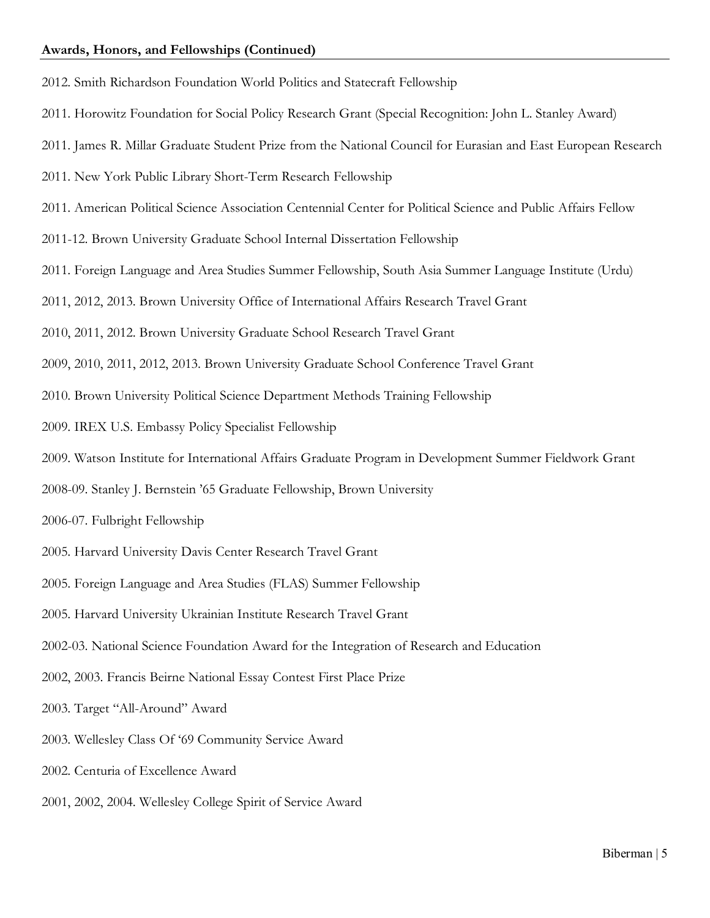#### **Awards, Honors, and Fellowships (Continued)**

- 2012. Smith Richardson Foundation World Politics and Statecraft Fellowship
- 2011. Horowitz Foundation for Social Policy Research Grant (Special Recognition: John L. Stanley Award)
- 2011. James R. Millar Graduate Student Prize from the National Council for Eurasian and East European Research
- 2011. New York Public Library Short-Term Research Fellowship
- 2011. American Political Science Association Centennial Center for Political Science and Public Affairs Fellow
- 2011-12. Brown University Graduate School Internal Dissertation Fellowship
- 2011. Foreign Language and Area Studies Summer Fellowship, South Asia Summer Language Institute (Urdu)
- 2011, 2012, 2013. Brown University Office of International Affairs Research Travel Grant
- 2010, 2011, 2012. Brown University Graduate School Research Travel Grant
- 2009, 2010, 2011, 2012, 2013. Brown University Graduate School Conference Travel Grant
- 2010. Brown University Political Science Department Methods Training Fellowship
- 2009. IREX U.S. Embassy Policy Specialist Fellowship
- 2009. Watson Institute for International Affairs Graduate Program in Development Summer Fieldwork Grant
- 2008-09. Stanley J. Bernstein '65 Graduate Fellowship, Brown University
- 2006-07. Fulbright Fellowship
- 2005. Harvard University Davis Center Research Travel Grant
- 2005. Foreign Language and Area Studies (FLAS) Summer Fellowship
- 2005. Harvard University Ukrainian Institute Research Travel Grant
- 2002-03. National Science Foundation Award for the Integration of Research and Education
- 2002, 2003. Francis Beirne National Essay Contest First Place Prize
- 2003. Target "All-Around" Award
- 2003. Wellesley Class Of '69 Community Service Award
- 2002. Centuria of Excellence Award
- 2001, 2002, 2004. Wellesley College Spirit of Service Award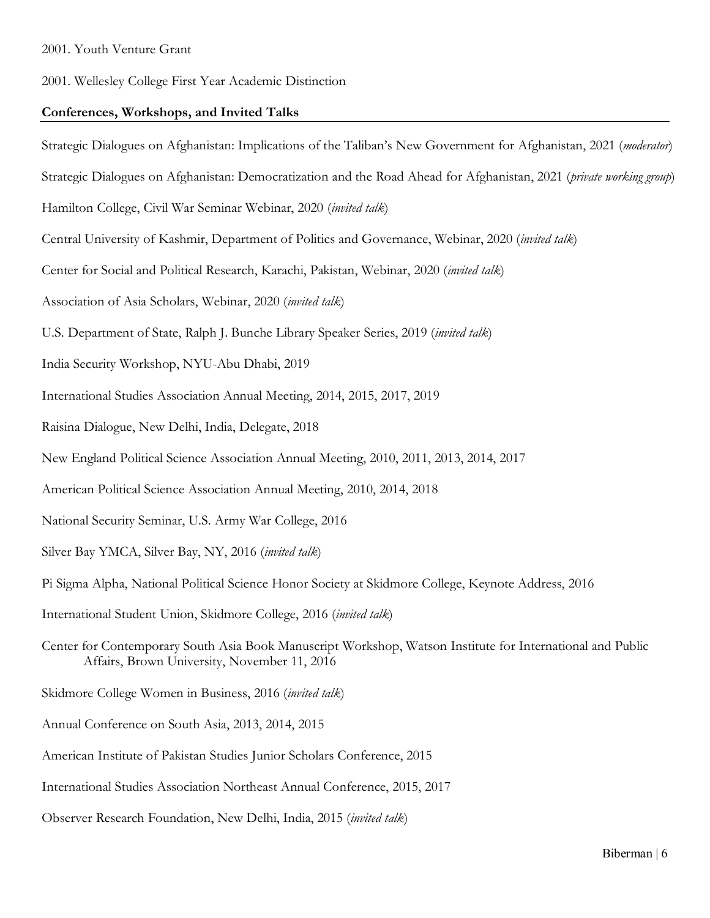2001. Wellesley College First Year Academic Distinction

#### **Conferences, Workshops, and Invited Talks**

Strategic Dialogues on Afghanistan: Implications of the Taliban's New Government for Afghanistan, 2021 (*moderator*) Strategic Dialogues on Afghanistan: Democratization and the Road Ahead for Afghanistan, 2021 (*private working group*) Hamilton College, Civil War Seminar Webinar, 2020 (*invited talk*) Central University of Kashmir, Department of Politics and Governance, Webinar, 2020 (*invited talk*) Center for Social and Political Research, Karachi, Pakistan, Webinar, 2020 (*invited talk*) Association of Asia Scholars, Webinar, 2020 (*invited talk*) U.S. Department of State, Ralph J. Bunche Library Speaker Series, 2019 (*invited talk*) India Security Workshop, NYU-Abu Dhabi, 2019 International Studies Association Annual Meeting, 2014, 2015, 2017, 2019 Raisina Dialogue, New Delhi, India, Delegate, 2018 New England Political Science Association Annual Meeting, 2010, 2011, 2013, 2014, 2017 American Political Science Association Annual Meeting, 2010, 2014, 2018 National Security Seminar, U.S. Army War College, 2016 Silver Bay YMCA, Silver Bay, NY, 2016 (*invited talk*) Pi Sigma Alpha, National Political Science Honor Society at Skidmore College, Keynote Address, 2016 International Student Union, Skidmore College, 2016 (*invited talk*) Center for Contemporary South Asia Book Manuscript Workshop, Watson Institute for International and Public Affairs, Brown University, November 11, 2016 Skidmore College Women in Business, 2016 (*invited talk*) Annual Conference on South Asia, 2013, 2014, 2015 American Institute of Pakistan Studies Junior Scholars Conference, 2015 International Studies Association Northeast Annual Conference, 2015, 2017 Observer Research Foundation, New Delhi, India, 2015 (*invited talk*)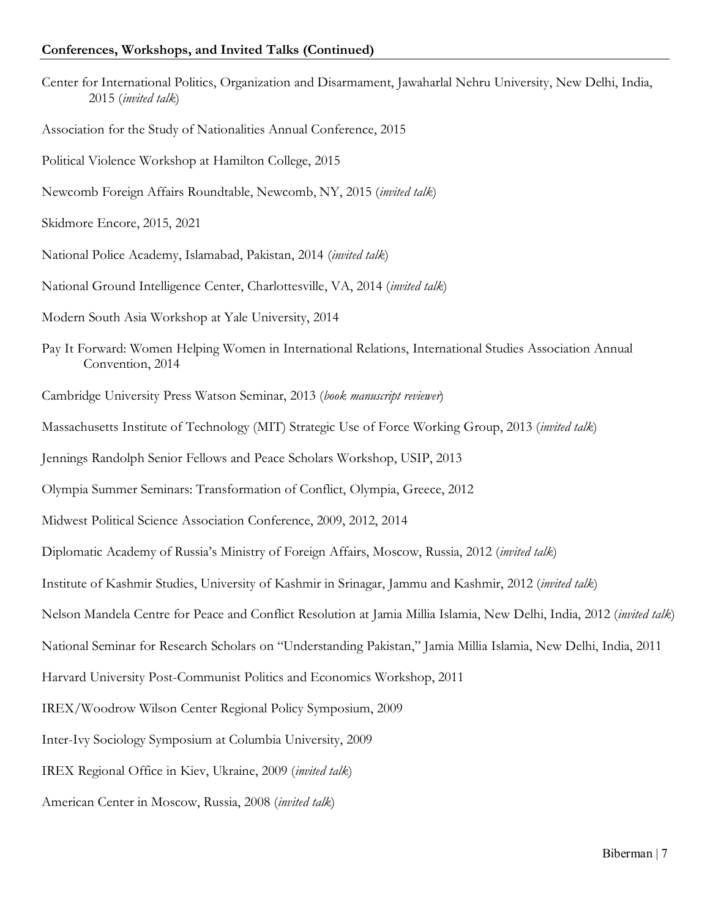#### **Conferences, Workshops, and Invited Talks (Continued)**

- Center for International Politics, Organization and Disarmament, Jawaharlal Nehru University, New Delhi, India, 2015 (*invited talk*)
- Association for the Study of Nationalities Annual Conference, 2015
- Political Violence Workshop at Hamilton College, 2015
- Newcomb Foreign Affairs Roundtable, Newcomb, NY, 2015 (*invited talk*)

Skidmore Encore, 2015, 2021

- National Police Academy, Islamabad, Pakistan, 2014 (*invited talk*)
- National Ground Intelligence Center, Charlottesville, VA, 2014 (*invited talk*)
- Modern South Asia Workshop at Yale University, 2014
- Pay It Forward: Women Helping Women in International Relations, International Studies Association Annual Convention, 2014
- Cambridge University Press Watson Seminar, 2013 (*book manuscript reviewer*)
- Massachusetts Institute of Technology (MIT) Strategic Use of Force Working Group, 2013 (*invited talk*)

Jennings Randolph Senior Fellows and Peace Scholars Workshop, USIP, 2013

Olympia Summer Seminars: Transformation of Conflict, Olympia, Greece, 2012

Midwest Political Science Association Conference, 2009, 2012, 2014

Diplomatic Academy of Russia's Ministry of Foreign Affairs, Moscow, Russia, 2012 (*invited talk*)

Institute of Kashmir Studies, University of Kashmir in Srinagar, Jammu and Kashmir, 2012 (*invited talk*)

Nelson Mandela Centre for Peace and Conflict Resolution at Jamia Millia Islamia, New Delhi, India, 2012 (*invited talk*)

National Seminar for Research Scholars on "Understanding Pakistan," Jamia Millia Islamia, New Delhi, India, 2011

Harvard University Post-Communist Politics and Economics Workshop, 2011

IREX/Woodrow Wilson Center Regional Policy Symposium, 2009

Inter-Ivy Sociology Symposium at Columbia University, 2009

IREX Regional Office in Kiev, Ukraine, 2009 (*invited talk*)

American Center in Moscow, Russia, 2008 (*invited talk*)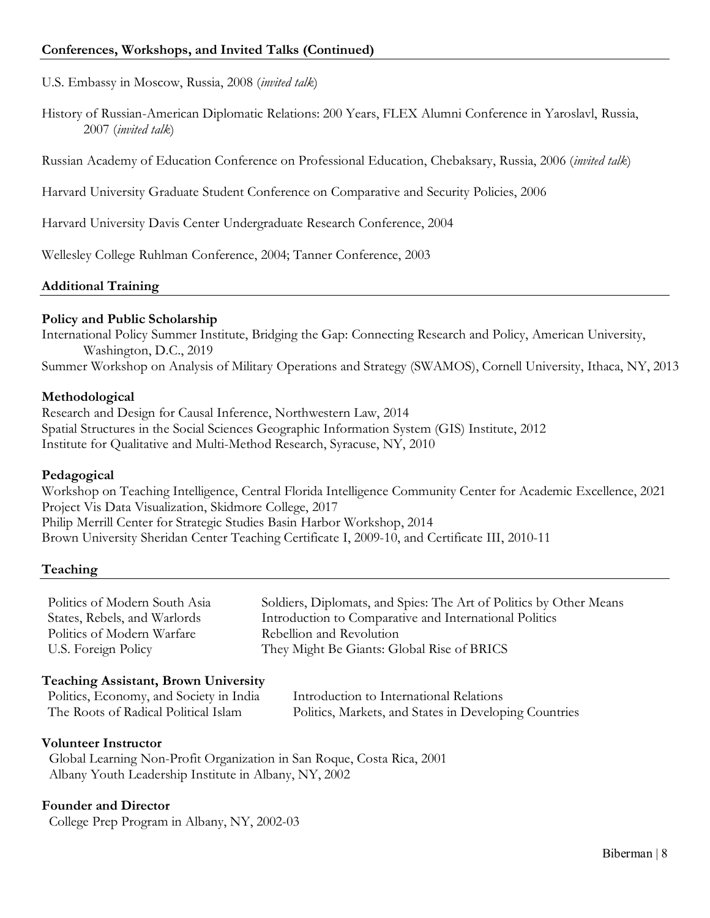U.S. Embassy in Moscow, Russia, 2008 (*invited talk*)

History of Russian-American Diplomatic Relations: 200 Years, FLEX Alumni Conference in Yaroslavl, Russia, 2007 (*invited talk*)

Russian Academy of Education Conference on Professional Education, Chebaksary, Russia, 2006 (*invited talk*)

Harvard University Graduate Student Conference on Comparative and Security Policies, 2006

Harvard University Davis Center Undergraduate Research Conference, 2004

Wellesley College Ruhlman Conference, 2004; Tanner Conference, 2003

## **Additional Training**

#### **Policy and Public Scholarship**

International Policy Summer Institute, Bridging the Gap: Connecting Research and Policy, American University, Washington, D.C., 2019 Summer Workshop on Analysis of Military Operations and Strategy (SWAMOS), Cornell University, Ithaca, NY, 2013

## **Methodological**

Research and Design for Causal Inference, Northwestern Law, 2014 Spatial Structures in the Social Sciences Geographic Information System (GIS) Institute, 2012 Institute for Qualitative and Multi-Method Research, Syracuse, NY, 2010

#### **Pedagogical**

Workshop on Teaching Intelligence, Central Florida Intelligence Community Center for Academic Excellence, 2021 Project Vis Data Visualization, Skidmore College, 2017 Philip Merrill Center for Strategic Studies Basin Harbor Workshop, 2014 Brown University Sheridan Center Teaching Certificate I, 2009-10, and Certificate III, 2010-11

#### **Teaching**

| Politics of Modern South Asia | Soldiers, Diplomats, and Spies: The Art of Politics by Other Means |
|-------------------------------|--------------------------------------------------------------------|
| States, Rebels, and Warlords  | Introduction to Comparative and International Politics             |
| Politics of Modern Warfare    | Rebellion and Revolution                                           |
| U.S. Foreign Policy           | They Might Be Giants: Global Rise of BRICS                         |
|                               |                                                                    |

#### **Teaching Assistant, Brown University**

| Politics, Economy, and Society in India | Introduction to International Relations               |
|-----------------------------------------|-------------------------------------------------------|
| The Roots of Radical Political Islam    | Politics, Markets, and States in Developing Countries |

#### **Volunteer Instructor**

 Global Learning Non-Profit Organization in San Roque, Costa Rica, 2001 Albany Youth Leadership Institute in Albany, NY, 2002

## **Founder and Director**

College Prep Program in Albany, NY, 2002-03